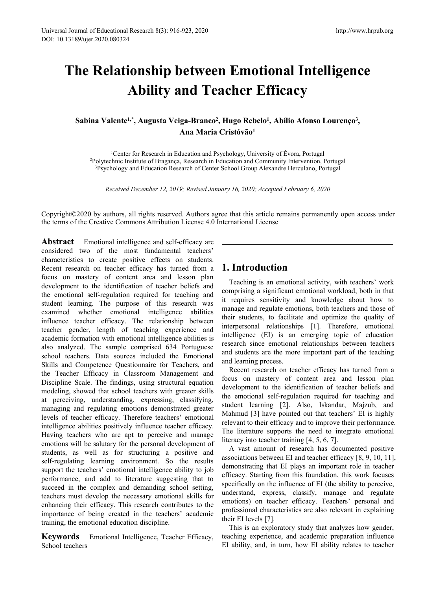# I Journal of Educational Research 8(3): 916-923, 2020<br>
13189/ujer.2020.080324<br> **The Relationship between Emotional Intelligence<br>
Ability and Teacher Efficacy**<br>
Sabina Valente<sup>1,\*</sup>, Augusta Veiga-Branco<sup>2</sup>, Hugo Rebelo<sup>1</sup>, Research 8(3): 916-923, 2020<br> **Ability and Teacher Efficacy**<br> **Ability and Teacher Efficacy**<br> **Ability and Teacher Efficacy**<br> **Ability And Teacher Efficacy**<br> **Ability And Teacher Efficacy**<br> **Ability Angusta Veiga-Branco<sup>2</sup> Sabina Valentia Research 8(3): 916-923, 2020<br>
<b>Sabina Valente<sup>1,\*</sup>, Augusta Veiga-Branco<sup>2</sup>, Hugo Rebelo<sup>1</sup>, Ability<br>
Sabina Valente<sup>1,\*</sup>, Augusta Veiga-Branco<sup>2</sup>, Hugo Rebelo<sup>1</sup>, Ability<br>
Ana Maria Cristóvão<sup>1</sup><br>
<sup>1</sup>Cente** http://www.<br> **n Emotional Intelligence<br>
<b>acher Efficacy**<br>
, Hugo Rebelo<sup>1</sup>, Abílio Afonso Lourenço<sup>3</sup>,<br>
Cristóvão<sup>1</sup><br>
Sychology, University of Évora, Portugal http://www.hrpub.org<br> **Concept Server Server Server Server Server Server Server Server Server Server Server Server Server Server Server Server Server Server Server Server Server Server Server Server Server Server Server Se** <sup>-923, 2020<br> **(Ana Maria Cristópical Intelligence<br>
<b>)**<br> **(Ana Maria Cristóvão<sup>1</sup>)**<br> **(Ana Maria Cristóvão<sup>1</sup>)<br>
Ana Maria Cristóvão<sup>1</sup><br>
Ana Maria Cristóvão<sup>1</sup><br>
Ana Maria Cristóvão<sup>1</sup><br>
, Research in Education and Community I</sup> Relationship between Emotional Intelligence<br>Ability and Teacher Efficacy**<br>ma Valente<sup>1,\*</sup>, Augusta Veiga-Branco<sup>2</sup>, Hugo Rebelo<sup>1</sup>, Abílio Afonso Lourenço<sup>3</sup>,<br>Ana Maria Cristóvão<sup>1</sup><br><sup>1</sup>Center for Research in Education and

**ADIITY AIRT I CACTICT EIFTCACY**<br> *Received 1.\**, Augusta Veiga-Branco<sup>2</sup>, Hugo Rebelo<sup>1</sup>, Abilio Afonso Lourenço<sup>3</sup>,<br>
<sup>1</sup>Center for Research in Education and Psychology, University of Évora, Portugal<br>
received institute o **Sabina Valente<sup>1,\*</sup>, Augusta Veiga-Branco<sup>2</sup>, Hugo Rebelo<sup>1</sup>, Abílio Afonso Lourenço<sup>3</sup>,<br>Ana Maria Cristóvão<sup>1</sup><br>Center for Research in Education and Psychology, University of Évora, Portugal<br><sup>2</sup>Polytechnic Institute of B Sabina Valente<sup>1,\*</sup>, Augusta Veiga-Branco<sup>2</sup>, Hugo Rebelo<sup>1</sup>, Abilio Afonso Lourenço<sup>3</sup>,<br>Ana Maria Cristóvão<sup>1</sup><br><sup>2</sup>Polytechnic Institute of Bragança, Research in Education and Community Intervention, Portugal<br><sup>3</sup>Psycholo** 

**Abstract** <sup>1</sup>Center for Research in Education and Psychology, University of Évora, Portu<sub>1</sub><br><sup>2</sup>Polytechnic Institute of Bragança, Research in Education and Community Interventio<sup>3</sup>Psychology and Education Research of Cent <sup>1</sup>Center for Research in Education and Psychology, University of Évora<sup>2</sup>Polytechnic Institute of Bragança, Research in Education and Community Inter<sup>3</sup>Psychology and Education Research of Center School Group Alexandre H <sup>1</sup>Center for Research in Education and Psychology, University of Evora,<br><sup>2</sup>Polytechnic Institute of Bragança, Research in Education and Community Inter<br><sup>3</sup>Psychology and Education Research of Center School Group Alexandr Polytechnic Institute of Bragança, Research in Education and Community Intervention, <sup>3</sup>Psychology and Education Research of Center School Group Alexandre Herculano, Polytechnic and Education Research of Center School Gro Fragonougy and Education Research of Center School Gloup Alexandre Herculant<br> *Received December 12, 2019; Revised January 16, 2020; Accepted February 6*<br>
Copyright©2020 by authors, all rights reserved. Authors agree that Received December 12, 2019; Revised January 16, 2020; Accepted February 6,<br>
Copyright©2020 by authors, all rights reserved. Authors agree that this article remains perm<br>
the terms of the Creative Commons Attribution Licens Received December 12, 2019; Revised January 16, 2020; Accepted February 6,<br>
Copyright©2020 by authors, all rights reserved. Authors agree that this article remains perm<br>
the terms of the Creative Commons Attribution Licens Copyright©2020 by authors, all rights reserved. Authors agree that this article remains pern<br>the terms of the Creative Commons Attribution License 4.0 International License<br>**Abstract** Emotional intelligence and self-effic Copyright©2020 by authors, all rights reserved. Authors agree that this article remains the terms of the Creative Commons Attribution License 4.0 International License<br> **Abstract** Emotional intelligence and self-efficacy Copyright©2020 by authors, all rights reserved. Authors agree that this article remains<br>the terms of the Creative Commons Attribution License 4.0 International License<br>**Abstract** Emotional intelligence and self-efficacy a the terms of the Creative Commons Attribution License 4.0 International License<br> **Abstract** Emotional intelligence and self-efficacy are<br>
considered two of the most fundamental teachers'<br>
characteristics to create positive **Abstract** Emotional intelligence and self-efficacy are<br>
considered two of the most fundamental teachers'<br>
characteristics to create positive effects on students.<br>
Recent research on teacher efficacy has turned from a<br>
dev **Abstract** Emotional intelligence and self-efficacy are<br>
considered two of the most fundamental teachers'<br>
Recent research on teacher efficacy has turned from a<br>
Recent research on teacher efficacy has turned from a<br>
focus considered two of the most fundamental teachers'<br>
characteristics to create positive effects on students.<br>
Recent research on teacher efficacy has turned from a<br>
development to the identification of teacher beliefs and<br>
d characteristics to create positive effects on students.<br>
Recent research on teacher efficacy has turned from a<br>
development to the identification of teacher beliefs and<br>
development to the identification required for teach Recent research on teacher efficacy has turned from a<br>
development to the identification of teacher beliefs and<br>
development to the identification of teacher beliefs and<br>
the emotional self-regulation required for teaching focus on mastery of content area and lesson plan<br>development to the identification of teacher beliefs and<br>the emotional self-regulation required for teaching and<br>student learning. The purpose of this research was it requir development to the identification of teacher beliefs and<br>
the emotional self-regulation required for teaching and<br>
student learning. The purpose of this research was<br>
in tequires sensitivity and<br>
student emotional intellig the emotional self-regulation required for teaching and compusing a signineary<br>student learning. The purpose of this research was it requires sensitivity<br>examined whether emotional intelligence abilities manage and regulat student learning. The purpose of this research was<br>
examined whether emotional intelligence abilities manage and regulate emotion<br>
influence teacher emotions intelligence and interpresonal relationships<br>
teacher gender, le examined whether emotional intelligence abilities manage and regulate emotional intelligence teacher gender, length of teaching experience and interpersonal relationship and scale interpersonal relationship intelligence (E influence teacher efficacy. The relationship between their students, to actinate<br>teacher gender, length of teaching experience and intelligence (EI) is an<br>academic formation with emotional intelligence abilities is<br>also an teacher gender, length of teaching experience and interlesional readionsitips<br>academic formation with emotional intelligence abilities is intelligence (EI) is an e<br>also analyzed. The sample comprised 634 Portugues<br>secench academic formation with emotional intelligence abilities is<br>
also analyzed. The sample comprised 634 Portuguese resolvends incent<br>
school teachers. Data sources included the Emotional and students are the more impor-<br>
Skil also analyzed. The sample comprised 634 Portuguese<br>
school teachers. Data sources included the Emotional and students are the more imposibles<br>
Skills and Competence Questionnaire for Teachers, and<br>
the Teacher Efficacy in school teachers. Data sources included the Emotional and sudents are the most<br>Exills and Competence Questionnaire for Teachers, and alterning process.<br>
the Teacher Efficacy in Classroom Management and learning process.<br>
mo Skills and Competence Questionnaire for Teachers, and ideataing process.<br>
the Teacher Efficacy in Classroom Management and Recent research on teacher exhibition<br>
modeling, showed that school teachers with greater is and it the Teacher Efficacy in Classroom Management and<br>
Discipline Scale. The findings, using structural equation of mastery of content<br>
modeling, showed that school teachers with greater skills<br>
are ceiving, understanding, expr Discipline Scale. The findings, using structural equation<br>
modeling, showed that school teachers with greater skills<br>
at perceiving, understanding, expressing, classifying, the emotional self-regulation<br>
managing and regul modeling, showed that school teachers with greater skills<br>at perceiving, understanding, expressing, classifying,<br>managing and regulating emotions demonstrated greater<br>managing and regulating emotions demonstrated greater<br>i at perceiving, understanding, expressing, classifying, we encoural sent-regulation in managing and regulating emotions demonstrated greater subtical levels of teacher efficacy. Therefore teachers' emotional Mahmud [3] have managing and regulating emotions demonstrated greater<br>
levels of teacher efficacy. Therefore teachers' emotional<br>
independent of heir efficacy<br>
intelligence abilities positively influence teacher efficacy.<br>
Having teacher levels of teacher efficacy. Therefore teachers' emotional intelligence abilities positively influence teacher efficacy.<br>
Having teachers who are apt to perceive and manage The literare<br>
emotions will be salutary for the pe Having teachers who are apt to perceive and manage<br>
Having teachers who are apt to perceive and manage<br>
Emotions will be salutary for the personal development of<br>
students, as well as for structuring a positive and<br>
say a The same that the the teachers and developed students, as well as for structuring a pself-regulating learning environment. So support the teachers' emotional intelligence aperformance, and add to literature sugges succeed

**Hugo Rebelo<sup>1</sup>, Abílio Afonso Lourenço<sup>3</sup>,<br>
Cristóvão<sup>1</sup><br>
schology, University of Évora, Portugal<br>
hucation and Community Intervention, Portugal<br>
School Group Alexandre Herculano, Portugal<br>
school Group Alexandre Herculan** 16, 2020; *Accepted February* 6, 2020<br>
that this article remains permanently open access under<br>
mational License<br>
Teaching is an emotional activity, with teachers' work<br>
mprising a significant emotional workload, both in t ary 16, 2020; Accepted February 6, 2020<br>
ee that this article remains permanently open access under<br>
ternational License<br> **1. Introduction**<br>
Teaching is an emotional activity, with teachers' work<br>
comprising a significant ity 19, 2020, ited-plat 1 ethally of 2020<br>
ee that this article remains permanently open access under<br> **1. Introduction**<br>
Teaching is an emotional activity, with teachers' work<br>
comprising a significant emotional workload, ee that this article remains permanently open access under<br>ternational License<br>**1.** Introduction<br>Teaching is an emotional activity, with teachers' work<br>comprising a significant emotional workload, both in that<br>it requires the end this article remains permanently open access under<br>ternational License<br>**1.** Introduction<br>Teaching is an emotional activity, with teachers' work<br>comprising a significant emotional workload, both in that<br>it requires interpersonal relationships [1]. Therefore, emotional **1. Introduction**<br>
Teaching is an emotional activity, with teachers' work<br>
comprising a significant emotional workload, both in that<br>
it requires sensitivity and knowledge about how to<br>
manage and regulate emotions, both t **1. Introduction**<br>
Teaching is an emotional activity, with teachers' work<br>
comprising a significant emotional workload, both in that<br>
it requires sensitivity and knowledge about how to<br>
manage and regulate emotions, both t **1. Introduction**<br>
Teaching is an emotional activity, with teachers' work<br>
comprising a significant emotional workload, both in that<br>
it requires sensitivity and knowledge about how to<br>
manage and regulate emotions, both t **1. Introduction**<br>Teaching is an emotional activity, with teachers<br>comprising a significant emotional workload, both<br>it requires sensitivity and knowledge about 1<br>manage and regulate emotions, both teachers and t<br>their stu **Introduction**<br>Teaching is an emotional activity, with teachers' work<br>mprising a significant emotional workload, both in that<br>requires sensitivity and knowledge about how to<br>mange and regulate emotions, both teachers and t **France Content area and strance and strance and strance and Matematical School Mathematic Mathematic sensitivity and knowledge about how to manage and regulate emotions, both teachers and those of their students, to facil** Teaching is an emotional activity, with teachers' work<br>comprising a significant emotional workload, both in that<br>it requires sensitivity and knowledge about how to<br>manage and regulate emotions, both teachers and those of<br>t comprising a significant emotional workload, both in that<br>it requires sensitivity and knowledge about how to<br>manage and regulate emotions, both teachers and those of<br>their students, to facilitate and optimize the quality o

it requires sensitivity and knowledge about how to<br>manage and regulate emotions, both teachers and those of<br>their students, to facilitate and optimize the quality of<br>interpersonal relationships [1]. Therefore, emotional<br>in manage and regulate emotions, both teachers and those of<br>their students, to facilitate and optimize the quality of<br>interpersonal relationships [1]. Therefore, emotional<br>intelligence (EI) is an emerging topic of education<br>r their students, to facilitate and optimize the quality of<br>interpersonal relationships [1]. Therefore, emotional<br>intelligence (EI) is an emerging topic of education<br>research since emotional relationships between teachers<br>an interpersonal relationships [1]. Therefore, emotional<br>intelligence (EI) is an emerging topic of education<br>research since emotional relationships between teachers<br>and students are the more important part of the teaching<br>an intelligence (EI) is an emerging topic of education<br>research since emotional relationships between teachers<br>and students are the more important part of the teaching<br>and learning process.<br>Recent research on teacher efficacy search since emotional relationships between teachers<br>d students are the more important part of the teaching<br>d learning process.<br>Recent research on teacher efficacy has turned from a<br>cus on mastery of content area and less and students are the more important part of the teaching<br>and learning process.<br>Recent research on teacher efficacy has turned from a<br>focus on mastery of content area and lesson plan<br>development to the identification of te and learning process.<br>
Recent research on teacher efficacy has turned from a<br>
focus on mastery of content area and lesson plan<br>
development to the identification of teacher beliefs and<br>
the emotional self-regulation requir Recent research on teacher efficacy has turned from a<br>focus on mastery of content area and lesson plan<br>development to the identification of teacher beliefs and<br>the emotional self-regulation required for teaching and<br>studen

focus on mastery of content area and lesson plan<br>development to the identification of teacher beliefs and<br>the emotional self-regulation required for teaching and<br>student learning [2]. Also, Iskandar, Majzub, and<br>Mahmud [3] development to the identification of teacher beliefs and<br>the emotional self-regulation required for teaching and<br>student learning [2]. Also, Iskandar, Majzub, and<br>Mahmud [3] have pointed out that teachers' EI is highly<br>rel the emotional self-regulation required for teaching and<br>student learning [2]. Also, Iskandar, Majzub, and<br>Mahmud [3] have pointed out that teachers' EI is highly<br>relevant to their efficacy and to improve their performance. student learning [2]. Also, Iskandar, Majzub, and<br>Mahmud [3] have pointed out that teachers' EI is highly<br>relevant to their efficacy and to improve their performance.<br>The literature supports the need to integrate emotional Mahmud [3] have pointed out that teachers' EI is 1<br>relevant to their efficacy and to improve their perform<br>The literature supports the need to integrate emo<br>literacy into teacher training [4, 5, 6, 7].<br>A vast amount of res levant to their efficacy and to improve their performance.<br>
le literature supports the need to integrate emotional<br>
eracy into teacher training [4, 5, 6, 7].<br>
A vast amount of research has documented positive<br>
sociations b The literature supports the need to integrate emotional<br>literacy into teacher training [4, 5, 6, 7].<br>A vast amount of research has documented positive<br>associations between EI and teacher efficacy [8, 9, 10, 11],<br>demonstrat literacy into teacher training [4, 5, 6, 7].<br>
A vast amount of research has documented positive<br>
associations between EI and teacher efficacy [8, 9, 10, 11],<br>
demonstrating that EI plays an important role in teacher<br>
effic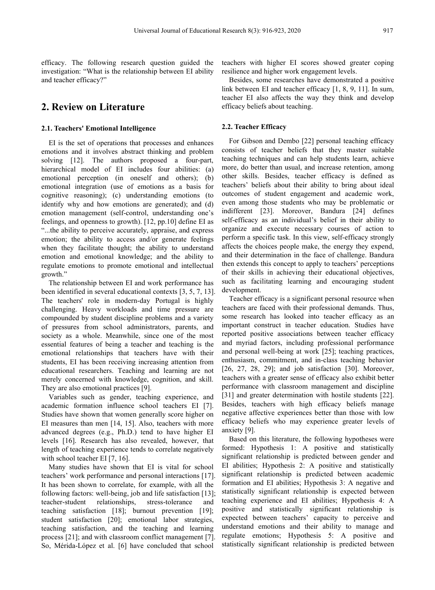efficacy. The following research question guided the investigation: "What is the relationship between EI ability and teacher efficacy?"

# **2. Review on Literature**

#### **2.1. Teachers' Emotional Intelligence**

EI is the set of operations that processes and enhances emotions and it involves abstract thinking and problem solving [12]. The authors proposed a four-part, hierarchical model of EI includes four abilities: (a) emotional perception (in oneself and others); (b) emotional integration (use of emotions as a basis for cognitive reasoning); (c) understanding emotions (to identify why and how emotions are generated); and (d) emotion management (self-control, understanding one's feelings, and openness to growth). [12, pp.10] define EI as "...the ability to perceive accurately, appraise, and express emotion; the ability to access and/or generate feelings when they facilitate thought; the ability to understand emotion and emotional knowledge; and the ability to regulate emotions to promote emotional and intellectual growth."

The relationship between EI and work performance has been identified in several educational contexts [3, 5, 7, 13]. The teachers' role in modern-day Portugal is highly challenging. Heavy workloads and time pressure are compounded by student discipline problems and a variety of pressures from school administrators, parents, and society as a whole. Meanwhile, since one of the most essential features of being a teacher and teaching is the emotional relationships that teachers have with their students, EI has been receiving increasing attention from educational researchers. Teaching and learning are not merely concerned with knowledge, cognition, and skill. They are also emotional practices [9].

Variables such as gender, teaching experience, and academic formation influence school teachers EI [7]. Studies have shown that women generally score higher on EI measures than men [14, 15]. Also, teachers with more advanced degrees (e.g., Ph.D.) tend to have higher EI levels [16]. Research has also revealed, however, that length of teaching experience tends to correlate negatively with school teacher EI [7, 16].

Many studies have shown that EI is vital for school teachers' work performance and personal interactions [17]. It has been shown to correlate, for example, with all the following factors: well-being, job and life satisfaction [13]; teacher-student relationships, stress-tolerance and teaching satisfaction [18]; burnout prevention [19]; student satisfaction [20]; emotional labor strategies, teaching satisfaction, and the teaching and learning process [21]; and with classroom conflict management [7]. So, Mérida-López et al. [6] have concluded that school

teachers with higher EI scores showed greater coping resilience and higher work engagement levels.

Besides, some researches have demonstrated a positive link between EI and teacher efficacy  $[1, 8, 9, 11]$ . In sum, teacher EI also affects the way they think and develop efficacy beliefs about teaching.

#### **2.2. Teacher Efficacy**

For Gibson and Dembo [22] personal teaching efficacy consists of teacher beliefs that they master suitable teaching techniques and can help students learn, achieve more, do better than usual, and increase retention, among other skills. Besides, teacher efficacy is defined as teachers' beliefs about their ability to bring about ideal outcomes of student engagement and academic work, even among those students who may be problematic or indifferent [23]. Moreover, Bandura [24] defines self-efficacy as an individual's belief in their ability to organize and execute necessary courses of action to perform a specific task. In this view, self-efficacy strongly affects the choices people make, the energy they expend, and their determination in the face of challenge. Bandura then extends this concept to apply to teachers' perceptions of their skills in achieving their educational objectives, such as facilitating learning and encouraging student development.

Teacher efficacy is a significant personal resource when teachers are faced with their professional demands. Thus, some research has looked into teacher efficacy as an important construct in teacher education. Studies have reported positive associations between teacher efficacy and myriad factors, including professional performance and personal well-being at work [25]; teaching practices, enthusiasm, commitment, and in-class teaching behavior [26, 27, 28, 29]; and job satisfaction [30]. Moreover, teachers with a greater sense of efficacy also exhibit better performance with classroom management and discipline [31] and greater determination with hostile students [22]. Besides, teachers with high efficacy beliefs manage negative affective experiences better than those with low efficacy beliefs who may experience greater levels of anxiety [9].

Based on this literature, the following hypotheses were formed: Hypothesis 1: A positive and statistically significant relationship is predicted between gender and EI abilities; Hypothesis 2: A positive and statistically significant relationship is predicted between academic formation and EI abilities; Hypothesis 3: A negative and statistically significant relationship is expected between teaching experience and EI abilities; Hypothesis 4: A positive and statistically significant relationship is expected between teachers' capacity to perceive and understand emotions and their ability to manage and regulate emotions; Hypothesis 5: A positive and statistically significant relationship is predicted between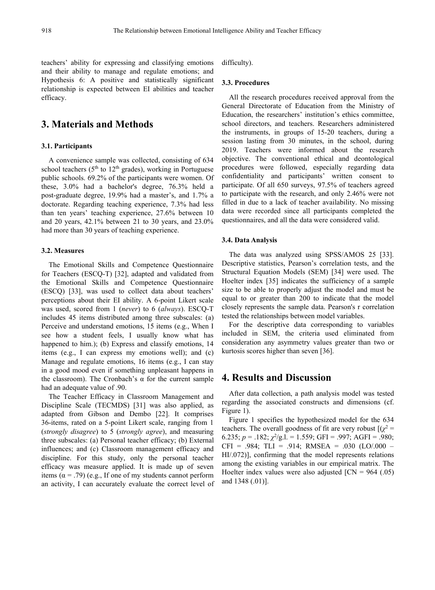teachers' ability for expressing and classifying emotions and their ability to manage and regulate emotions; and Hypothesis 6: A positive and statistically significant relationship is expected between EI abilities and teacher efficacy.

# **3. Materials and Methods**

## **3.1. Participants**

A convenience sample was collected, consisting of 634 school teachers ( $5<sup>th</sup>$  to  $12<sup>th</sup>$  grades), working in Portuguese procedures were public schools. 69.2% of the participants were women. Of these, 3.0% had a bachelor's degree, 76.3% held a post-graduate degree, 19.9% had a master's, and 1.7% a doctorate. Regarding teaching experience, 7.3% had less than ten years' teaching experience, 27.6% between 10 and 20 years, 42.1% between 21 to 30 years, and 23.0% had more than 30 years of teaching experience.

## **3.2. Measures**

The Emotional Skills and Competence Questionnaire for Teachers (ESCQ-T) [32], adapted and validated from the Emotional Skills and Competence Questionnaire (ESCQ) [33], was used to collect data about teachers' perceptions about their EI ability. A 6-point Likert scale was used, scored from 1 (*never*) to 6 (*always*). ESCQ-T includes 45 items distributed among three subscales: (a) Perceive and understand emotions, 15 items (e.g., When I see how a student feels, I usually know what has happened to him.); (b) Express and classify emotions, 14 items (e.g., I can express my emotions well); and (c) Manage and regulate emotions, 16 items (e.g., I can stay in a good mood even if something unpleasant happens in the classroom). The Cronbach's α for the current sample had an adequate value of .90.

The Teacher Efficacy in Classroom Management and Discipline Scale (TECMDS) [31] was also applied, as adapted from Gibson and Dembo [22]. It comprises 36-items, rated on a 5-point Likert scale, ranging from 1 (*strongly disagree*) to 5 (*strongly agree*), and measuring three subscales: (a) Personal teacher efficacy; (b) External influences; and (c) Classroom management efficacy and discipline. For this study, only the personal teacher efficacy was measure applied. It is made up of seven items ( $\alpha$  = .79) (e.g., If one of my students cannot perform an activity, I can accurately evaluate the correct level of difficulty).

## **3.3. Procedures**

All the research procedures received approval from the General Directorate of Education from the Ministry of Education, the researchers' institution's ethics committee, school directors, and teachers. Researchers administered the instruments, in groups of 15-20 teachers, during a session lasting from 30 minutes, in the school, during 2019. Teachers were informed about the research objective. The conventional ethical and deontological procedures were followed, especially regarding data confidentiality and participants' written consent to participate. Of all 650 surveys, 97.5% of teachers agreed to participate with the research, and only 2.46% were not filled in due to a lack of teacher availability. No missing data were recorded since all participants completed the questionnaires, and all the data were considered valid.

#### **3.4. Data Analysis**

The data was analyzed using SPSS/AMOS 25 [33]. Descriptive statistics, Pearson's correlation tests, and the Structural Equation Models (SEM) [34] were used. The Hoelter index [35] indicates the sufficiency of a sample size to be able to properly adjust the model and must be equal to or greater than 200 to indicate that the model closely represents the sample data. Pearson's r correlation tested the relationships between model variables.

For the descriptive data corresponding to variables included in SEM, the criteria used eliminated from consideration any asymmetry values greater than two or kurtosis scores higher than seven [36].

# **4. Results and Discussion**

After data collection, a path analysis model was tested regarding the associated constructs and dimensions (cf. Figure 1).

Figure 1 specifies the hypothesized model for the 634 teachers. The overall goodness of fit are very robust  $[(\gamma^2$  $z^2 =$ 6.235;  $p = 0.182$ ;  $\chi^2/g.1 = 1.559$ ; GFI = .997; AGFI = .980;  $CFI = .984$ ; TLI = .914; RMSEA = .030 (LO/.000 – HI/.072)], confirming that the model represents relations among the existing variables in our empirical matrix. The Hoelter index values were also adjusted  $\text{ICN} = 964$  (.05) and 1348 (.01)].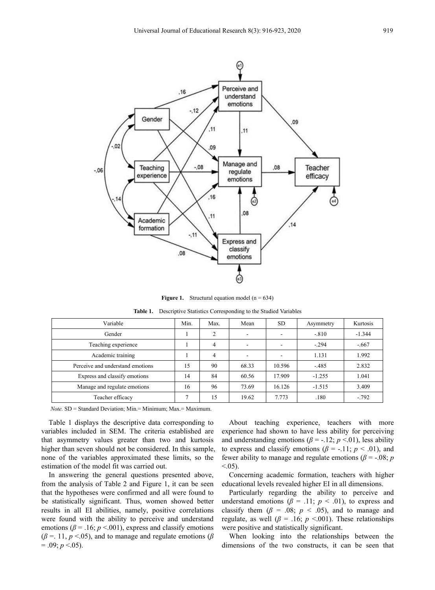

**Figure 1.** Structural equation model ( $n = 634$ )

**Table 1.** Descriptive Statistics Corresponding to the Studied Variables

| Variable                         | Min. | Max.           | Mean                     | SD.    | Asymmetry | Kurtosis |
|----------------------------------|------|----------------|--------------------------|--------|-----------|----------|
| Gender                           |      | 2              |                          |        | $-.810$   | $-1.344$ |
| Teaching experience              |      | $\overline{4}$ | $\overline{\phantom{a}}$ |        | $-.294$   | $-.667$  |
| Academic training                |      | $\overline{4}$ | $\overline{\phantom{a}}$ |        | 1.131     | 1.992    |
| Perceive and understand emotions | 15   | 90             | 68.33                    | 10.596 | $-485$    | 2.832    |
| Express and classify emotions    | 14   | 84             | 60.56                    | 17.909 | $-1.255$  | 1.041    |
| Manage and regulate emotions     | 16   | 96             | 73.69                    | 16.126 | $-1.515$  | 3.409    |
| Teacher efficacy                 |      | 15             | 19.62                    | 7.773  | .180      | $-.792$  |

*Note.* SD = Standard Deviation; Min.= Minimum; Max.= Maximum.

Table 1 displays the descriptive data corresponding to variables included in SEM. The criteria established are that asymmetry values greater than two and kurtosis higher than seven should not be considered. In this sample, none of the variables approximated these limits, so the estimation of the model fit was carried out.

In answering the general questions presented above, from the analysis of Table 2 and Figure 1, it can be seen that the hypotheses were confirmed and all were found to be statistically significant. Thus, women showed better results in all EI abilities, namely, positive correlations were found with the ability to perceive and understand emotions ( $\beta$  = .16;  $p$  <.001), express and classify emotions were positive and statistically significant.  $(\beta = 11, p \le 0.05)$ , and to manage and regulate emotions ( $\beta$  $= .09; p < .05$ ).

About teaching experience, teachers with more experience had shown to have less ability for perceiving and understanding emotions ( $\beta$  = -.12;  $p$  <.01), less ability to express and classify emotions ( $\beta$  = -.11;  $p < .01$ ), and fewer ability to manage and regulate emotions ( $\beta$  = -.08; *p*  $< 0.05$ ).

Concerning academic formation, teachers with higher educational levels revealed higher EI in all dimensions.

Particularly regarding the ability to perceive and understand emotions ( $\beta$  = .11;  $p$  < .01), to express and classify them ( $\beta$  = .08;  $p \lt .05$ ), and to manage and regulate, as well ( $\beta$  = .16; *p* <.001). These relationships

When looking into the relationships between the dimensions of the two constructs, it can be seen that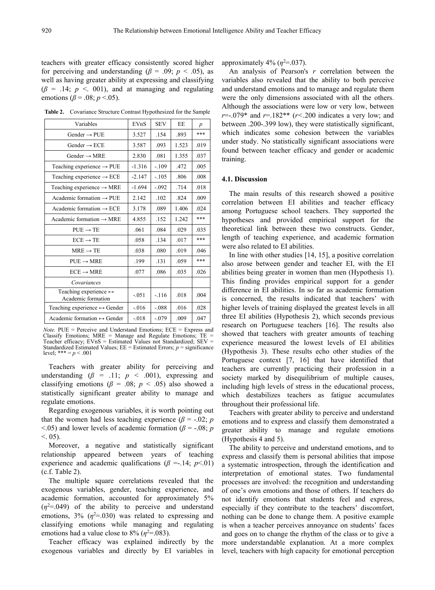teachers with greater efficacy consistently scored higher for perceiving and understanding ( $\beta$  = .09; *p* < .05), as well as having greater ability at expressing and classifying  $(\beta = .14; p < .001)$ , and at managing and regulating emotions ( $β = .08$ ;  $p < .05$ ).

**Table 2.** Covariance Structure Contrast Hypothesized for the Sample

| Variables                                                   | EVnS     | <b>SEV</b> | EE    | $\boldsymbol{p}$ | between .200-.399 low), they were statist                                                                                                                    |
|-------------------------------------------------------------|----------|------------|-------|------------------|--------------------------------------------------------------------------------------------------------------------------------------------------------------|
| Gender $\rightarrow$ PUE                                    | 3.527    | .154       | .893  | ***              | which indicates some cohesion between<br>under study. No statistically significant a                                                                         |
| Gender $\rightarrow$ ECE                                    | 3.587    | .093       | 1.523 | .019             |                                                                                                                                                              |
| Gender $\rightarrow$ MRE                                    | 2.830    | .081       | 1.355 | .037             | found between teacher efficacy and gen<br>training.                                                                                                          |
| Teaching experience $\rightarrow$ PUE                       | $-1.316$ | $-.109$    | .472  | .005             |                                                                                                                                                              |
| Teaching experience $\rightarrow$ ECE                       | $-2.147$ | $-.105$    | .806  | .008             | 4.1. Discussion                                                                                                                                              |
| Teaching experience $\rightarrow$ MRE                       | $-1.694$ | $-.092$    | .714  | .018             | The main results of this research sh<br>correlation between EI abilities and<br>among Portuguese school teachers. The<br>hypotheses and provided empirical s |
| Academic formation $\rightarrow$ PUE                        | 2.142    | .102       | .824  | .009             |                                                                                                                                                              |
| Academic formation $\rightarrow$ ECE                        | 3.178    | .089       | 1.406 | .024             |                                                                                                                                                              |
| Academic formation $\rightarrow$ MRE                        | 4.855    | .152       | 1.242 | ***              |                                                                                                                                                              |
| $PUE \rightarrow TE$                                        | .061     | .084       | .029  | .035             | theoretical link between these two cor                                                                                                                       |
| $ECE \rightarrow TE$                                        | .058     | .134       | .017  | ***              | length of teaching experience, and aca                                                                                                                       |
| $MRE \rightarrow TE$                                        | .038     | .080       | .019  | .046             | were also related to EI abilities.<br>In line with other studies $[14, 15]$ , a po                                                                           |
| $PUE \rightarrow MRE$                                       | .199     | .131       | .059  | ***              | also arose between gender and teacher                                                                                                                        |
| $ECE \rightarrow MRE$                                       | .077     | .086       | .035  | .026             | abilities being greater in women than mere                                                                                                                   |
| Covariances                                                 |          |            |       |                  | This finding provides empirical suppo                                                                                                                        |
| Teaching experience $\leftrightarrow$<br>Academic formation | $-.051$  | $-116$     | .018  | .004             | difference in EI abilities. In so far as aca<br>is concerned, the results indicated that                                                                     |
| Teaching experience $\leftrightarrow$ Gender                | $-0.016$ | $-.088$    | .016  | .028             | higher levels of training displayed the gre                                                                                                                  |
| Academic formation $\leftrightarrow$ Gender                 | $-0.018$ | $-.079$    | .009  | .047             | three EI abilities (Hypothesis 2), which<br>$\sim$ $\sim$ $\sim$ $\sim$ $\sim$ $\sim$ $\sim$ $\sim$                                                          |
|                                                             |          |            |       |                  |                                                                                                                                                              |

*Note.* PUE = Perceive and Understand Emotions; ECE = Express and Classify Emotions; MRE = Manage and Regulate Emotions; TE = Teacher efficacy;  $\angle EVnS =$  Estimated Values not Standardized;  $SEV =$ Standardized Estimated Values;  $EE = Estimated$  Errors;  $p = significance$ level; \*\*\* =  $p < .001$ 

Teachers with greater ability for perceiving and understanding  $(\beta = .11; p < .001)$ , expressing and classifying emotions ( $\beta$  = .08; *p* < .05) also showed a statistically significant greater ability to manage and regulate emotions.

Regarding exogenous variables, it is worth pointing out that the women had less teaching experience ( $\beta$  = -.02; *p*  $\leq$ .05) and lower levels of academic formation ( $\beta$  = -.08; *p*  $< 0.05$ ).

Moreover, a negative and statistically significant relationship appeared between years of teaching experience and academic qualifications ( $\beta$  =-.14;  $p$ <.01) (c.f. Table 2).

The multiple square correlations revealed that the exogenous variables, gender, teaching experience, and academic formation, accounted for approximately 5%  $(\eta^2 = 0.049)$  of the ability to perceive and understand especially if they co emotions,  $3\%$  ( $\eta^2$ =.030) was related to expressing and nothing can be done classifying emotions while managing and regulating emotions had a value close to  $8\%$  ( $\eta^2$ =.083). and goes o

Teacher efficacy was explained indirectly by the exogenous variables and directly by EI variables in approximately  $4\%$  ( $\eta^2 = 0.037$ ).

between .200-.399 low), they were statistically significant, Variables EVnS SEV EE  $p$  between .200-.399 low), they were statistically significant,<br>Gender → PUE 3.527 .154 .893 \*\*\* which indicates some cohesion between the variables An analysis of Pearson's *r* correlation between the variables also revealed that the ability to both perceive and understand emotions and to manage and regulate them were the only dimensions associated with all the others. Although the associations were low or very low, between *r*=-.079\* and *r*=.182\*\* (*r<*.200 indicates a very low; and under study. No statistically significant associations were found between teacher efficacy and gender or academic training.

Academic formation  $\rightarrow$  ECE  $\begin{array}{c|c} 3.178 & .089 & 1.406 & .024 \end{array}$  among Portuguese school teachers. They supported the Academic formation  $\rightarrow$  MRE  $\begin{array}{c|c}$  4.855 .152 1.242 \*\*\* hypotheses and provided empirical support for the PUE  $\rightarrow$  TE .061 .084 .029 .035 theoretical link between these two constructs. Gender,  $\overline{ECE \rightarrow TE}$  .058 .134 .017 \*\*\* length of teaching experience, and academic formation The main results of this research showed a positive correlation between EI abilities and teacher efficacy were also related to EI abilities.

 $PUE \rightarrow MRE$  .199.131.059 \*\*\* also arose between gender and teacher EI, with the EI ECE → MRE .077 .086 .035 .026 abilities being greater in women than men (Hypothesis 1). -.051 -.116 .018 .004 is concerned, the results indicated that teachers' with Teaching experience  $\leftrightarrow$  Gender  $\vert$  -.016  $\vert$  -.088  $\vert$  .016  $\vert$  .028  $\vert$  higher levels of training displayed the greatest levels in all Academic formation  $\leftrightarrow$  Gender  $\begin{vmatrix} -.018 & -.079 & .009 & .047 \end{vmatrix}$  three EI abilities (Hypothesis 2), which seconds previous In line with other studies [14, 15], a positive correlation This finding provides empirical support for a gender difference in EI abilities. In so far as academic formation research on Portuguese teachers [16]. The results also showed that teachers with greater amounts of teaching experience measured the lowest levels of EI abilities (Hypothesis 3). These results echo other studies of the Portuguese context [7, 16] that have identified that teachers are currently practicing their profession in a society marked by disequilibrium of multiple causes, including high levels of stress in the educational process, which destabilizes teachers as fatigue accumulates throughout their professional life.

> Teachers with greater ability to perceive and understand emotions and to express and classify them demonstrated a greater ability to manage and regulate emotions (Hypothesis 4 and 5).

> The ability to perceive and understand emotions, and to express and classify them is personal abilities that impose a systematic introspection, through the identification and interpretation of emotional states. Two fundamental processes are involved: the recognition and understanding of one's own emotions and those of others. If teachers do not identify emotions that students feel and express, especially if they contribute to the teachers' discomfort, nothing can be done to change them. A positive example is when a teacher perceives annoyance on students' faces and goes on to change the rhythm of the class or to give a more understandable explanation. At a more complex level, teachers with high capacity for emotional perception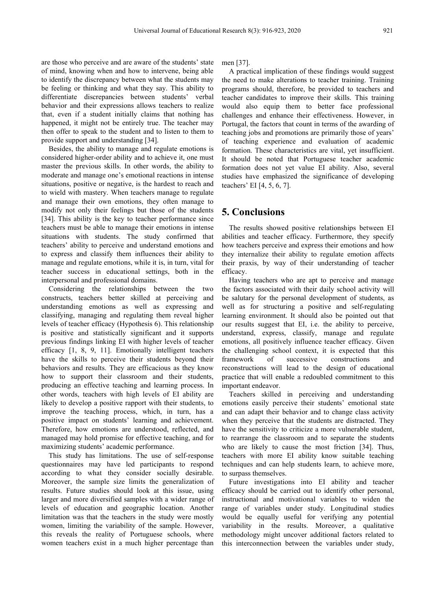are those who perceive and are aware of the students' state of mind, knowing when and how to intervene, being able to identify the discrepancy between what the students may be feeling or thinking and what they say. This ability to differentiate discrepancies between students' verbal behavior and their expressions allows teachers to realize that, even if a student initially claims that nothing has happened, it might not be entirely true. The teacher may then offer to speak to the student and to listen to them to provide support and understanding [34].

Besides, the ability to manage and regulate emotions is considered higher-order ability and to achieve it, one must master the previous skills. In other words, the ability to moderate and manage one's emotional reactions in intense situations, positive or negative, is the hardest to reach and to wield with mastery. When teachers manage to regulate and manage their own emotions, they often manage to modify not only their feelings but those of the students [34]. This ability is the key to teacher performance since teachers must be able to manage their emotions in intense situations with students. The study confirmed that teachers' ability to perceive and understand emotions and to express and classify them influences their ability to manage and regulate emotions, while it is, in turn, vital for teacher success in educational settings, both in the interpersonal and professional domains.

Considering the relationships between the two constructs, teachers better skilled at perceiving and understanding emotions as well as expressing and classifying, managing and regulating them reveal higher levels of teacher efficacy (Hypothesis 6). This relationship is positive and statistically significant and it supports previous findings linking EI with higher levels of teacher efficacy [1, 8, 9, 11]. Emotionally intelligent teachers have the skills to perceive their students beyond their framework behaviors and results. They are efficacious as they know how to support their classroom and their students, producing an effective teaching and learning process. In other words, teachers with high levels of EI ability are likely to develop a positive rapport with their students, to improve the teaching process, which, in turn, has a positive impact on students' learning and achievement. Therefore, how emotions are understood, reflected, and managed may hold promise for effective teaching, and for maximizing students' academic performance.

This study has limitations. The use of self-response questionnaires may have led participants to respond according to what they consider socially desirable.Moreover, the sample size limits the generalization of results. Future studies should look at this issue, using larger and more diversified samples with a wider range of levels of education and geographic location. Another limitation was that the teachers in the study were mostly women, limiting the variability of the sample. However, this reveals the reality of Portuguese schools, where women teachers exist in a much higher percentage than

men [37].

A practical implication of these findings would suggest the need to make alterations to teacher training. Training programs should, therefore, be provided to teachers and teacher candidates to improve their skills. This training would also equip them to better face professional challenges and enhance their effectiveness. However, in Portugal, the factors that count in terms of the awarding of teaching jobs and promotions are primarily those of years' of teaching experience and evaluation of academic formation. These characteristics are vital, yet insufficient. It should be noted that Portuguese teacher academic formation does not yet value EI ability. Also, several studies have emphasized the significance of developing teachers' EI [4, 5, 6, 7].

# **5. Conclusions**

The results showed positive relationships between EI abilities and teacher efficacy. Furthermore, they specify how teachers perceive and express their emotions and how they internalize their ability to regulate emotion affects their praxis, by way of their understanding of teacher efficacy.

Having teachers who are apt to perceive and manage the factors associated with their daily school activity will be salutary for the personal development of students, as well as for structuring a positive and self-regulating learning environment. It should also be pointed out that our results suggest that EI, i.e. the ability to perceive, understand, express, classify, manage and regulate emotions, all positively influence teacher efficacy. Given the challenging school context, it is expected that this of successive constructions and reconstructions will lead to the design of educational practice that will enable a redoubled commitment to this important endeavor.

Teachers skilled in perceiving and understanding emotions easily perceive their students' emotional state and can adapt their behavior and to change class activity when they perceive that the students are distracted. They have the sensitivity to criticize a more vulnerable student, to rearrange the classroom and to separate the students who are likely to cause the most friction [34]. Thus, teachers with more EI ability know suitable teaching techniques and can help students learn, to achieve more, to surpass themselves.

Future investigations into EI ability and teacher efficacy should be carried out to identify other personal, instructional and motivational variables to widen the range of variables under study. Longitudinal studies would be equally useful for verifying any potential variability in the results. Moreover, a qualitative methodology might uncover additional factors related to this interconnection between the variables under study,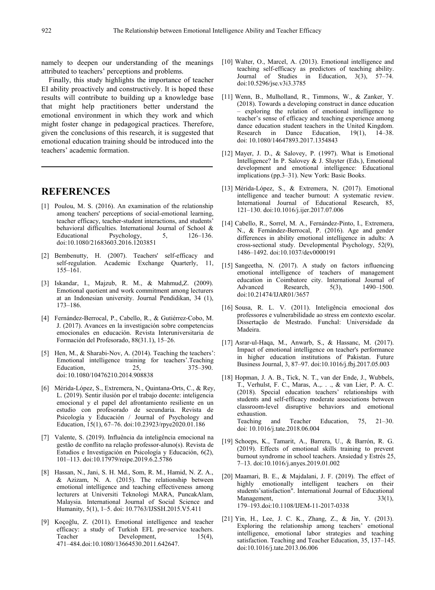namely to deepen our understanding of the meanings attributed to teachers' perceptions and problems.

Finally, this study highlights the importance of teacher EI ability proactively and constructively. It is hoped these results will contribute to building up a knowledge base that might help practitioners better understand the emotional environment in which they work and which might foster change in pedagogical practices. Therefore, given the conclusions of this research, it is suggested that emotional education training should be introduced into the teachers' academic formation.

# **REFERENCES**

- [1] Poulou, M. S. (2016). An examination of the relationship among teachers' perceptions of social-emotional learning, teacher efficacy, teacher-student interactions, and students' behavioral difficulties. International Journal of School & Educational Psychology, 5, 126–136. doi:10.1080/21683603.2016.1203851
- [2] Bembenutty, H. (2007). Teachers' self-efficacy and self-regulation. Academic Exchange Quarterly, 11, 155–161.
- [3] Iskandar, I., Majzub, R. M., & Mahmud,Z. (2009). Emotional quotient and work commitment among lecturers at an Indonesian university. Journal Pendidikan, 34 (1), 173–186.
- [4] Fernández-Berrocal, P., Cabello, R., & Gutiérrez-Cobo, M. J. (2017). Avances en lainvestigación sobre competencias emocionales en educación. Revista Interuniversitaria de Formación del Profesorado, 88(31.1), 15–26.
- [5] Hen, M., & Sharabi-Nov, A. (2014). Teaching the teachers': Emotional intelligence training for teachers'.Teaching Education, 25, 375–390. doi:10.1080/10476210.2014.908838
- [6] Mérida-López, S., Extremera, N., Quintana-Orts, C., & Rey, L. (2019). Sentir ilusión por el trabajo docente: inteligencia emocional y el papel del afrontamiento resiliente en un estudio con profesorado de secundaria. Revista de Psicología y Educación / Journal of Psychology and Education, 15(1), 67–76. doi:10.23923/rpye2020.01.186
- [7] Valente, S. (2019). Influência da inteligência emocional na gestão de conflito na relação professor-aluno(s). Revista de Estudios e Investigación en Psicología y Educación, 6(2), 101–113. doi:10.17979/reipe.2019.6.2.5786
- [8] Hassan, N., Jani, S. H. Md., Som, R. M., Hamid, N. Z. A., & Azizam, N. A. (2015). The relationship between emotional intelligence and teaching effectiveness among lecturers at Universiti Teknologi MARA, PuncakAlam, Malaysia. International Journal of Social Science and Humanity, 5(1), 1–5. doi: 10.7763/IJSSH.2015.V5.411
- [9] Koçoğlu, Z. (2011). Emotional intelligence and teacher efficacy: a study of Turkish EFL pre-service teachers. Teacher Development, 15(4), 471–484.doi:10.1080/13664530.2011.642647.
- [10] Walter, O., Marcel, A. (2013). Emotional intelligence and teaching self-efficacy as predictors of teaching ability. Journal of Studies in Education, 3(3), 57–74. doi:10.5296/jse.v3i3.3785
- [11] Wenn, B., Mulholland, R., Timmons, W., & Zanker, Y. (2018). Towards a developing construct in dance education – exploring the relation of emotional intelligence to teacher's sense of efficacy and teaching experience among dance education student teachers in the United Kingdom. in Dance Education,  $19(1)$ ,  $14-38$ . doi: 10.1080/14647893.2017.1354843
- [12] Mayer, J. D., & Salovey, P. (1997). What is Emotional Intelligence? In P. Salovey & J. Sluyter (Eds.), Emotional development and emotional intelligence: Educational implications (pp.3–31). New York: Basic Books.
- [13] Mérida-López, S., & Extremera, N. (2017). Emotional intelligence and teacher burnout: A systematic review. International Journal of Educational Research, 85, 121–130. doi:10.1016/j.ijer.2017.07.006
- [14] Cabello, R., Sorrel, M. A., Fernández-Pinto, I., Extremera, N., & Fernández-Berrocal, P. (2016). Age and gender differences in ability emotional intelligence in adults: A cross-sectional study. Developmental Psychology, 52(9), 1486–1492. doi:10.1037/dev0000191
- [15] Sangeetha, N. (2017). A study on factors influencing emotional intelligence of teachers of management education in Coimbatore city. International Journal of Research, 5(3), 1490–1500. doi:10.21474/IJAR01/3657
- [16] Sousa, R. L. V. (2011). Inteligência emocional dos professores e vulnerabilidade ao stress em contexto escolar. Dissertação de Mestrado. Funchal: Universidade da Madeira.
- [17] Asrar-ul-Haqa, M., Anwarb, S., & Hassanc, M. (2017). Impact of emotional intelligence on teacher's performance in higher education institutions of Pakistan. Future Business Journal, 3, 87–97. doi:10.1016/j.fbj.2017.05.003
- [18] Hopman, J. A. B., Tick, N. T., van der Ende, J., Wubbels, T., Verhulst, F. C., Maras, A.,. . ., & van Lier, P. A. C. (2018). Special education teachers' relationships with students and self-efficacy moderate associations between classroom-level disruptive behaviors and emotional exhaustion. Teaching and Teacher Education, 75, 21–30. doi: 10.1016/j.tate.2018.06.004
- [19] Schoeps, K., Tamarit, A., Barrera, U., & Barrón, R. G. (2019). Effects of emotional skills training to prevent burnout syndrome in school teachers. Ansiedad y Estrés 25, 7–13. doi:10.1016/j.anyes.2019.01.002
- [20] Maamari, B. E., & Majdalani, J. F. (2019). The effect of highly emotionally intelligent teachers on their students'satisfaction". International Journal of Educational Management, 33(1), 179–193.doi:10.1108/IJEM-11-2017-0338
- [21] Yin, H., Lee, J. C. K., Zhang, Z., & Jin, Y. (2013). Exploring the relationship among teachers' emotional intelligence, emotional labor strategies and teaching satisfaction. Teaching and Teacher Education, 35, 137–145. doi:10.1016/j.tate.2013.06.006